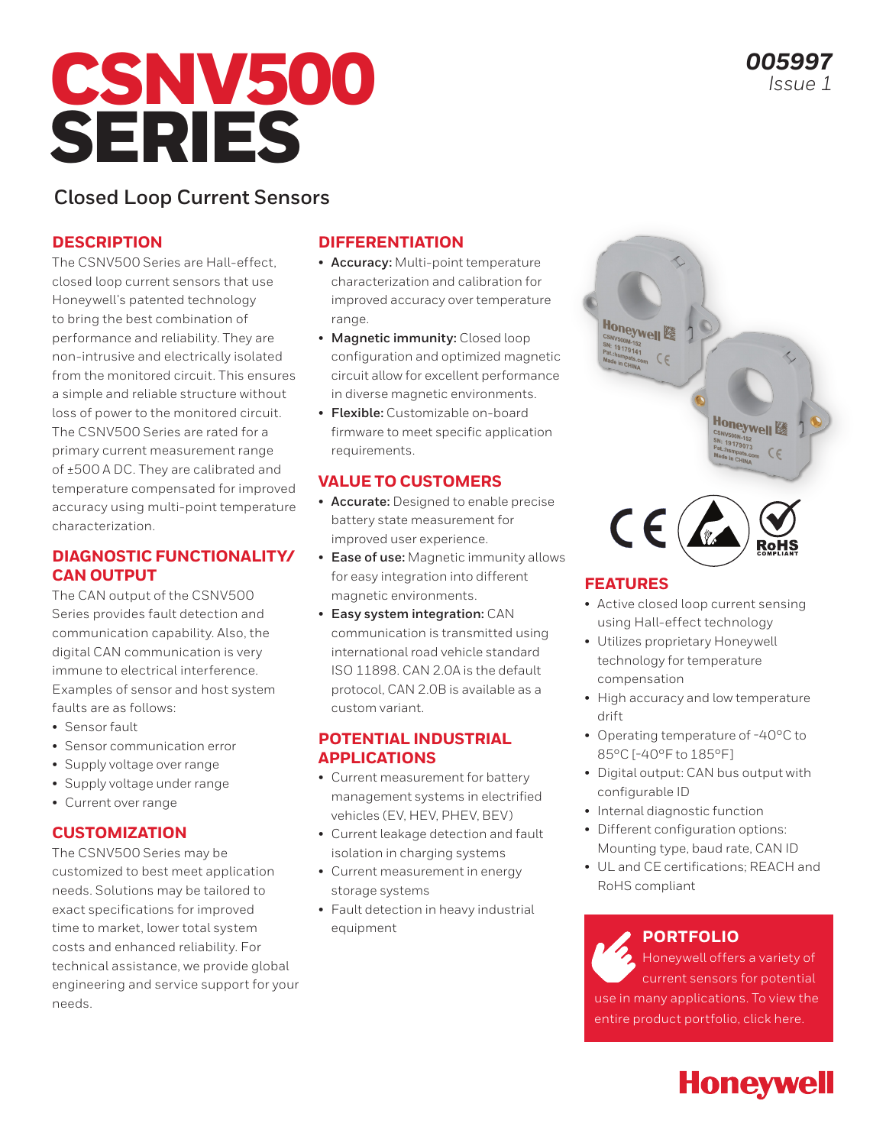# CSNV500 SERIES

## **Closed Loop Current Sensors**

#### **DESCRIPTION**

The CSNV500 Series are Hall-effect, closed loop current sensors that use Honeywell's patented technology to bring the best combination of performance and reliability. They are non-intrusive and electrically isolated from the monitored circuit. This ensures a simple and reliable structure without loss of power to the monitored circuit. The CSNV500 Series are rated for a primary current measurement range of ±500 A DC. They are calibrated and temperature compensated for improved accuracy using multi-point temperature characterization.

#### **DIAGNOSTIC FUNCTIONALITY/ CAN OUTPUT**

The CAN output of the CSNV500 Series provides fault detection and communication capability. Also, the digital CAN communication is very immune to electrical interference. Examples of sensor and host system faults are as follows:

- Sensor fault
- Sensor communication error
- Supply voltage over range
- Supply voltage under range
- Current over range

#### **CUSTOMIZATION**

The CSNV500 Series may be customized to best meet application needs. Solutions may be tailored to exact specifications for improved time to market, lower total system costs and enhanced reliability. For technical assistance, we provide global engineering and service support for your needs.

#### **DIFFERENTIATION**

- **Accuracy:** Multi-point temperature characterization and calibration for improved accuracy over temperature range.
- **Magnetic immunity:** Closed loop configuration and optimized magnetic circuit allow for excellent performance in diverse magnetic environments.
- **Flexible:** Customizable on-board firmware to meet specific application requirements.

#### **VALUE TO CUSTOMERS**

- **Accurate:** Designed to enable precise battery state measurement for improved user experience.
- **Ease of use:** Magnetic immunity allows for easy integration into different magnetic environments.
- **Easy system integration:** CAN communication is transmitted using international road vehicle standard ISO 11898. CAN 2.0A is the default protocol, CAN 2.0B is available as a custom variant.

#### **POTENTIAL INDUSTRIAL APPLICATIONS**

- Current measurement for battery management systems in electrified vehicles (EV, HEV, PHEV, BEV)
- Current leakage detection and fault isolation in charging systems
- Current measurement in energy storage systems
- Fault detection in heavy industrial equipment



#### **FEATURES**

Honeywell 

 $C \in$ 

- Active closed loop current sensing using Hall-effect technology
- Utilizes proprietary Honeywell technology for temperature compensation
- High accuracy and low temperature drift
- Operating temperature of -40°C to 85°C [-40°F to 185°F]
- Digital output: CAN bus output with configurable ID
- Internal diagnostic function
- Different configuration options: Mounting type, baud rate, CAN ID
- UL and CE certifications; REACH and RoHS compliant

### **PORTFOLIO**

Honeywell offers a variety of current sensors for potential use in many applications. To view the entire product portfolio, click here.

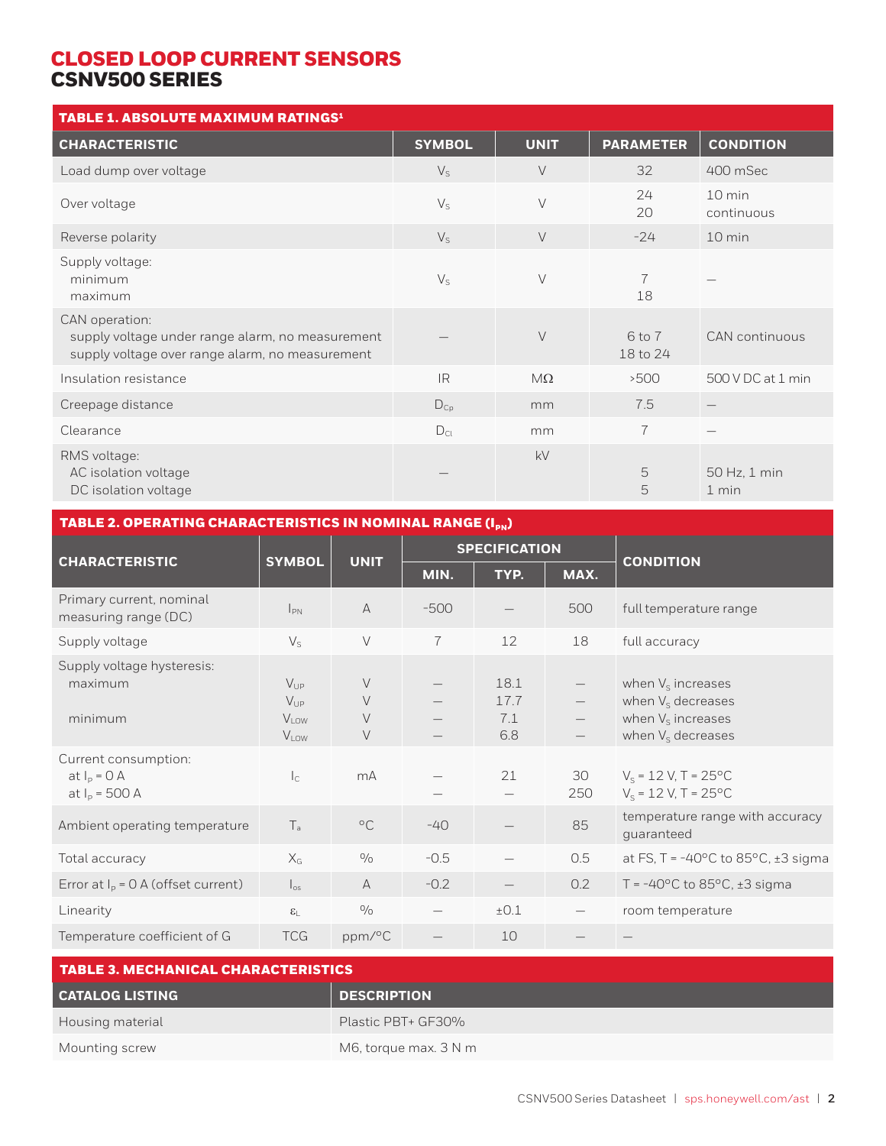| TABLE 1. ABSOLUTE MAXIMUM RATINGS <sup>1</sup>                                                                        |                 |             |                        |                       |
|-----------------------------------------------------------------------------------------------------------------------|-----------------|-------------|------------------------|-----------------------|
| <b>CHARACTERISTIC</b>                                                                                                 | <b>SYMBOL</b>   | <b>UNIT</b> | <b>PARAMETER</b>       | <b>CONDITION</b>      |
| Load dump over voltage                                                                                                | $V_{S}$         | $\vee$      | 32                     | 400 mSec              |
| Over voltage                                                                                                          | $V_{S}$         | $\vee$      | 24<br>20               | 10 min<br>continuous  |
| Reverse polarity                                                                                                      | $V_{S}$         | $\vee$      | $-24$                  | 10 min                |
| Supply voltage:<br>minimum<br>maximum                                                                                 | $V_{S}$         | $\vee$      | 7<br>18                |                       |
| CAN operation:<br>supply voltage under range alarm, no measurement<br>supply voltage over range alarm, no measurement |                 | $\vee$      | $6$ to $7$<br>18 to 24 | <b>CAN</b> continuous |
| Insulation resistance                                                                                                 | IR.             | $M\Omega$   | >500                   | 500 V DC at 1 min     |
| Creepage distance                                                                                                     | $D_{Cp}$        | mm          | 7.5                    |                       |
| Clearance                                                                                                             | $D_{\text{Cl}}$ | mm          | $\overline{7}$         |                       |
| RMS voltage:<br>AC isolation voltage<br>DC isolation voltage                                                          |                 | kV          | 5<br>5                 | 50 Hz, 1 min<br>1 min |

| TABLE 2. OPERATING CHARACTERISTICS IN NOMINAL RANGE (I <sub>PN</sub> ) |                                 |                      |                            |           |                                                                                              |
|------------------------------------------------------------------------|---------------------------------|----------------------|----------------------------|-----------|----------------------------------------------------------------------------------------------|
|                                                                        |                                 | <b>SPECIFICATION</b> |                            |           |                                                                                              |
|                                                                        |                                 | MIN.                 | TYP.                       | MAX.      | <b>CONDITION</b>                                                                             |
| $I_{PN}$                                                               | $\mathsf{A}$                    | $-500$               |                            | 500       | full temperature range                                                                       |
| $\mathsf{V}_{\mathsf{S}}$                                              | $\vee$                          | $\overline{7}$       | 12                         | 18        | full accuracy                                                                                |
| $V_{\text{UP}}$<br>$V_{UP}$<br>$V_{LOW}$<br>$V_{LOW}$                  | $\vee$<br>$\vee$<br>$\vee$<br>V |                      | 18.1<br>17.7<br>7.1<br>6.8 |           | when $V_s$ increases<br>when $V_s$ decreases<br>when $V_s$ increases<br>when $V_s$ decreases |
| $\mathsf{I}_\mathsf{C}$                                                | mA                              |                      | 21                         | 30<br>250 | $V_s = 12 V, T = 25^{\circ}C$<br>$V_s = 12 V, T = 25^{\circ}C$                               |
| $T_{\rm a}$                                                            | $^{\circ}$ C                    | $-40$                |                            | 85        | temperature range with accuracy<br>guaranteed                                                |
| $X_G$                                                                  | $\frac{0}{0}$                   | $-0.5$               |                            | 0.5       | at FS, T = -40 $^{\circ}$ C to 85 $^{\circ}$ C, ±3 sigma                                     |
| $\left.\right _{\text{os}}$                                            | A                               | $-0.2$               |                            | 0.2       | T = $-40^{\circ}$ C to 85 $^{\circ}$ C, ±3 sigma                                             |
| $\epsilon_{\text{L}}$                                                  | $\frac{0}{0}$                   |                      | ±0.1                       |           | room temperature                                                                             |
| <b>TCG</b>                                                             | ppm/°C                          |                      | 10                         |           |                                                                                              |
|                                                                        | <b>SYMBOL</b>                   | <b>UNIT</b>          |                            |           |                                                                                              |

| <b>TABLE 3. MECHANICAL CHARACTERISTICS</b> |                       |  |  |
|--------------------------------------------|-----------------------|--|--|
| <b>CATALOG LISTING</b>                     | <b>DESCRIPTION</b>    |  |  |
| Housing material                           | Plastic PBT+ GF30%    |  |  |
| Mounting screw                             | M6, torque max. 3 N m |  |  |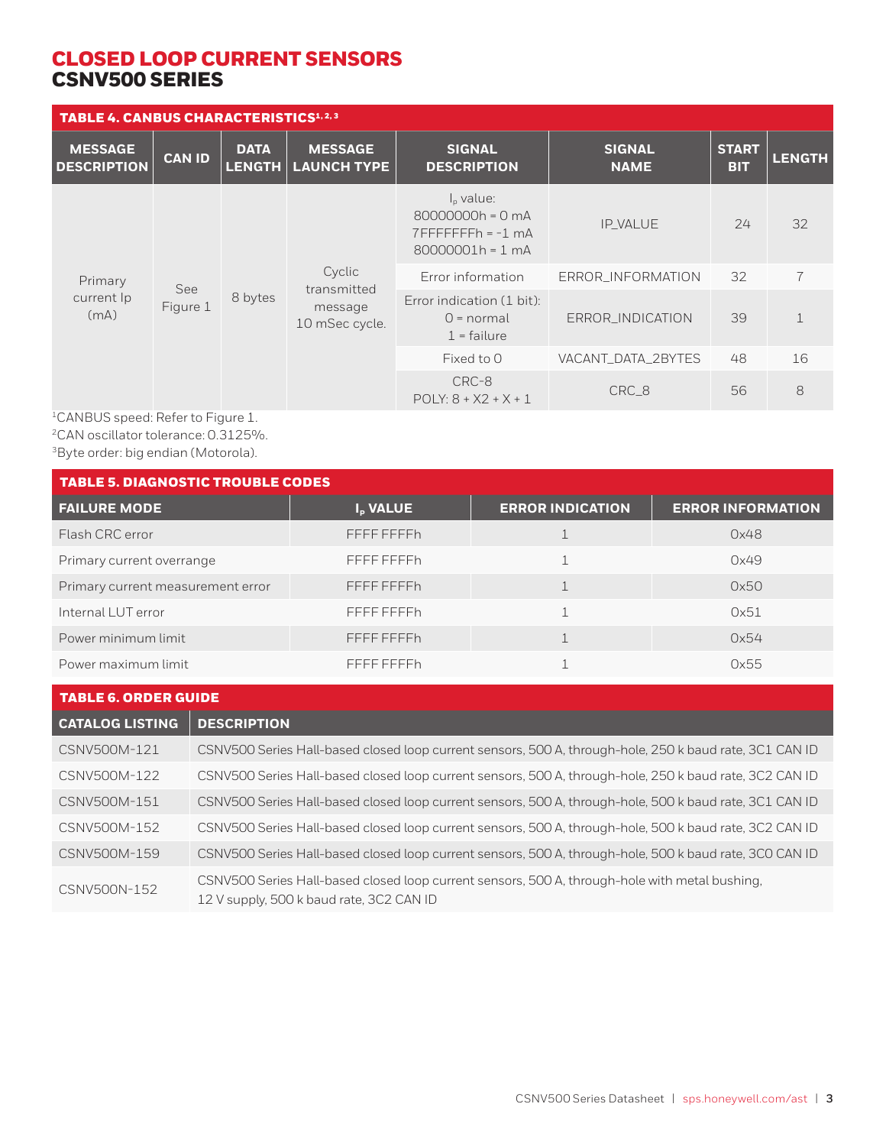| <b>TABLE 4. CANBUS CHARACTERISTICS</b> 1,2,3                                                                      |                                                            |                                 |                                      |                                                                                  |                              |                            |               |
|-------------------------------------------------------------------------------------------------------------------|------------------------------------------------------------|---------------------------------|--------------------------------------|----------------------------------------------------------------------------------|------------------------------|----------------------------|---------------|
| <b>MESSAGE</b><br><b>DESCRIPTION</b>                                                                              | <b>CAN ID</b>                                              | <b>DATA</b><br><b>LENGTH</b>    | <b>MESSAGE</b><br><b>LAUNCH TYPE</b> | <b>SIGNAL</b><br><b>DESCRIPTION</b>                                              | <b>SIGNAL</b><br><b>NAME</b> | <b>START</b><br><b>BIT</b> | <b>LENGTH</b> |
|                                                                                                                   |                                                            |                                 |                                      | $Ip$ value:<br>80000000h = 0 mA<br>$7$ FFFFFFFFh = $-1$ mA<br>$80000001h = 1 mA$ | <b>IP VALUE</b>              | 24                         | 32            |
| Cyclic<br>Primary<br>See<br>transmitted<br>8 bytes<br>current Ip<br>Figure 1<br>message<br>(mA)<br>10 mSec cycle. |                                                            | Error information               | ERROR INFORMATION                    | 32                                                                               | $\overline{7}$               |                            |               |
|                                                                                                                   | Error indication (1 bit):<br>$0 = normal$<br>$1$ = failure | ERROR_INDICATION                | 39                                   | $\mathbf{1}$                                                                     |                              |                            |               |
|                                                                                                                   |                                                            | Fixed to 0                      | VACANT_DATA_2BYTES                   | 48                                                                               | 16                           |                            |               |
|                                                                                                                   |                                                            | CRC-8<br>$POLY: 8 + X2 + X + 1$ | CRC_8                                | 56                                                                               | 8                            |                            |               |

1CANBUS speed: Refer to Figure 1. 2CAN oscillator tolerance: 0.3125%. 3Byte order: big endian (Motorola).

| <b>TABLE 5. DIAGNOSTIC TROUBLE CODES</b> |                      |                         |                          |  |
|------------------------------------------|----------------------|-------------------------|--------------------------|--|
| <b>FAILURE MODE</b>                      | I <sub>p</sub> VALUE | <b>ERROR INDICATION</b> | <b>ERROR INFORMATION</b> |  |
| Flash CRC error                          | FFFF FFFFh           |                         | 0x48                     |  |
| Primary current overrange                | FFFF FFFFh           |                         | 0x49                     |  |
| Primary current measurement error        | FFFF FFFFh           |                         | 0x50                     |  |
| Internal LUT error                       | FFFF FFFFh           |                         | 0x51                     |  |
| Power minimum limit                      | FFFF FFFFh           |                         | 0x54                     |  |
| Power maximum limit                      | FFFF FFFFh           |                         | 0x55                     |  |

| <b>TABLE 6. ORDER GUIDE</b> |                                                                                                                                            |  |  |
|-----------------------------|--------------------------------------------------------------------------------------------------------------------------------------------|--|--|
| <b>CATALOG LISTING</b>      | <b>DESCRIPTION</b>                                                                                                                         |  |  |
| CSNV500M-121                | CSNV500 Series Hall-based closed loop current sensors, 500 A, through-hole, 250 k baud rate, 3C1 CAN ID                                    |  |  |
| CSNV500M-122                | CSNV500 Series Hall-based closed loop current sensors, 500 A, through-hole, 250 k baud rate, 3C2 CAN ID                                    |  |  |
| CSNV500M-151                | CSNV500 Series Hall-based closed loop current sensors, 500 A, through-hole, 500 k baud rate, 3C1 CAN ID                                    |  |  |
| CSNV500M-152                | CSNV500 Series Hall-based closed loop current sensors, 500 A, through-hole, 500 k baud rate, 3C2 CAN ID                                    |  |  |
| CSNV500M-159                | CSNV500 Series Hall-based closed loop current sensors, 500 A, through-hole, 500 k baud rate, 3C0 CAN ID                                    |  |  |
| CSNV500N-152                | CSNV500 Series Hall-based closed loop current sensors, 500 A, through-hole with metal bushing,<br>12 V supply, 500 k baud rate, 3C2 CAN ID |  |  |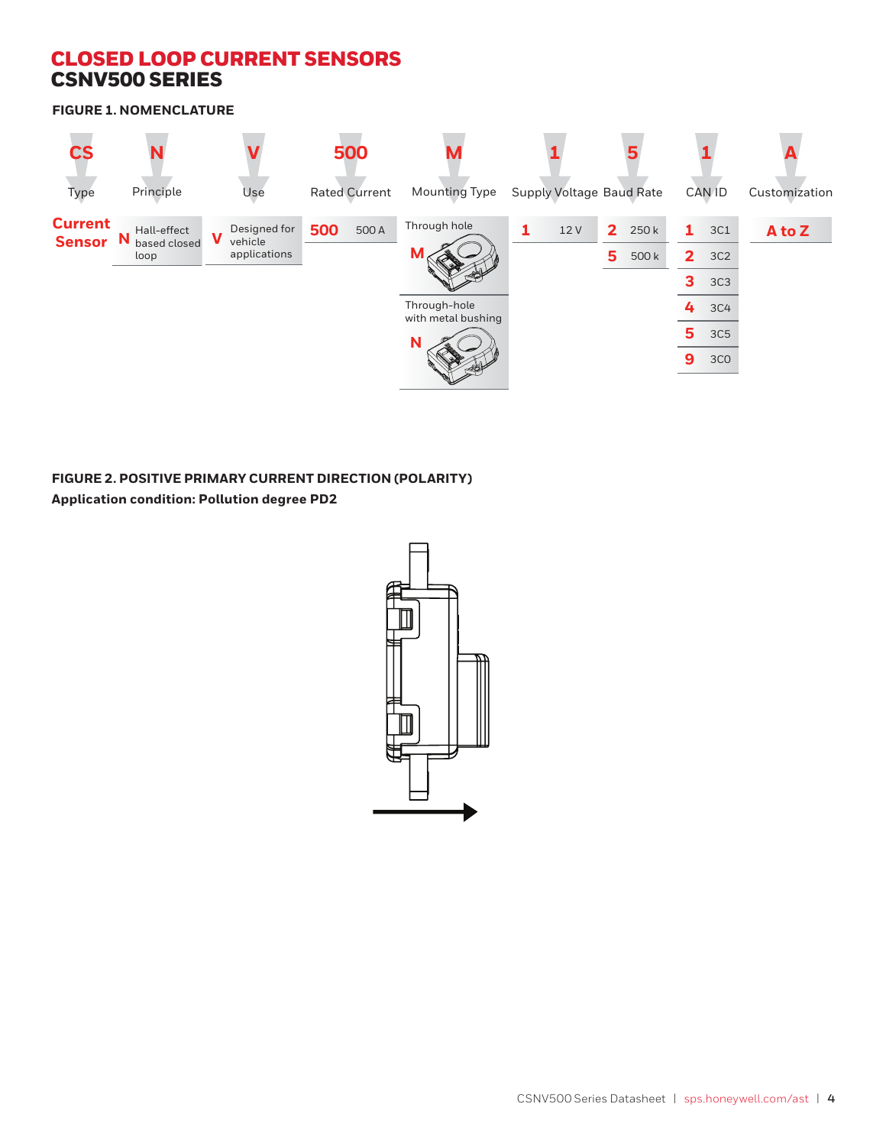**FIGURE 1. NOMENCLATURE**



**FIGURE 2. POSITIVE PRIMARY CURRENT DIRECTION (POLARITY) Application condition: Pollution degree PD2**

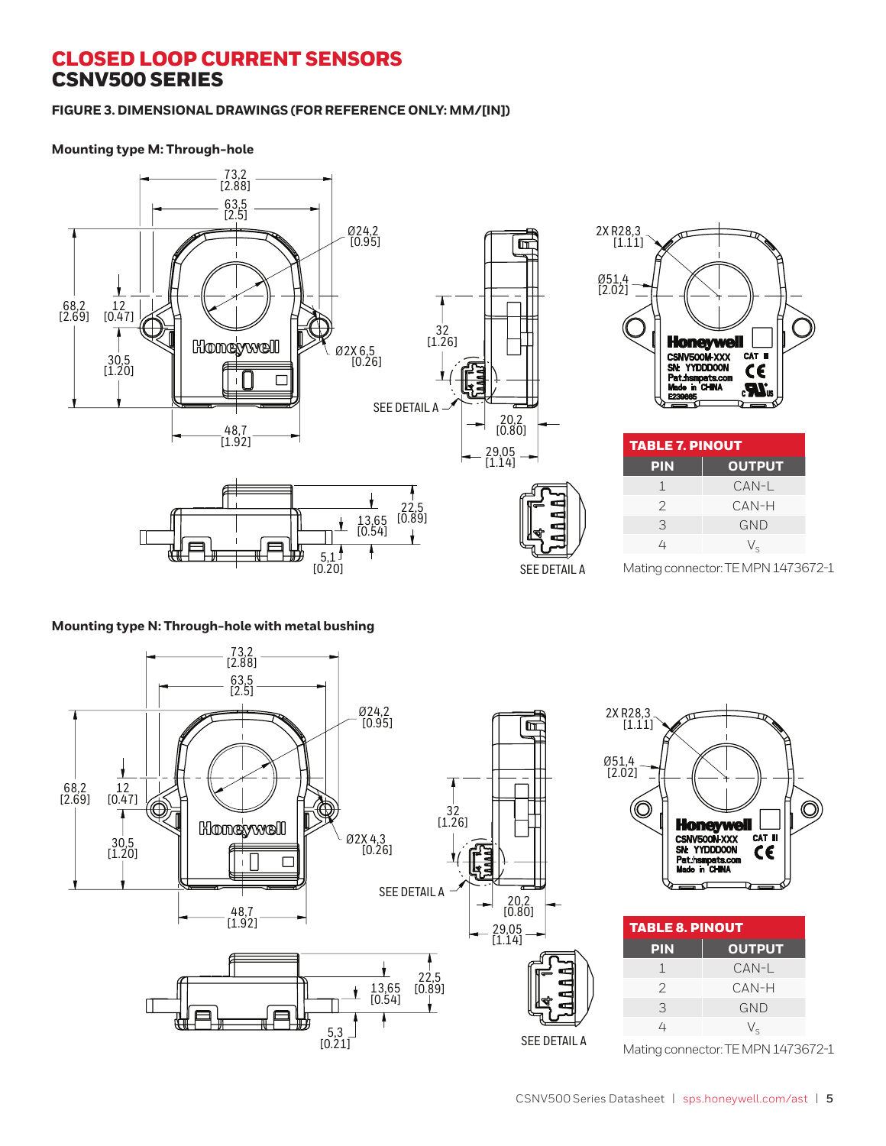#### **FIGURE 3. DIMENSIONAL DRAWINGS (FOR REFERENCE ONLY: MM/[IN])**

#### **Mounting type M: Through-hole**



#### **Mounting type N: Through-hole with metal bushing**



| 2X R <sub>2</sub> 8,3<br>[1.11] |                                                                          |               |
|---------------------------------|--------------------------------------------------------------------------|---------------|
| Ø51,4<br>[2.02]                 |                                                                          |               |
|                                 | <b>Honeywell</b>                                                         |               |
|                                 | CSNV500N-XXX<br>SN: YYDDDOON<br><b>Pat.hsmpats.com<br/>Made in CHINA</b> | CAT III<br>C€ |
|                                 |                                                                          |               |

| <b>TABLE 8. PINOUT</b> |  |  |
|------------------------|--|--|
| <b>OUTPUT</b>          |  |  |
| CAN-L                  |  |  |
| CAN-H                  |  |  |
| <b>GND</b>             |  |  |
| $V_{\rm c}$            |  |  |
|                        |  |  |

Mating connector: TE MPN 1473672-1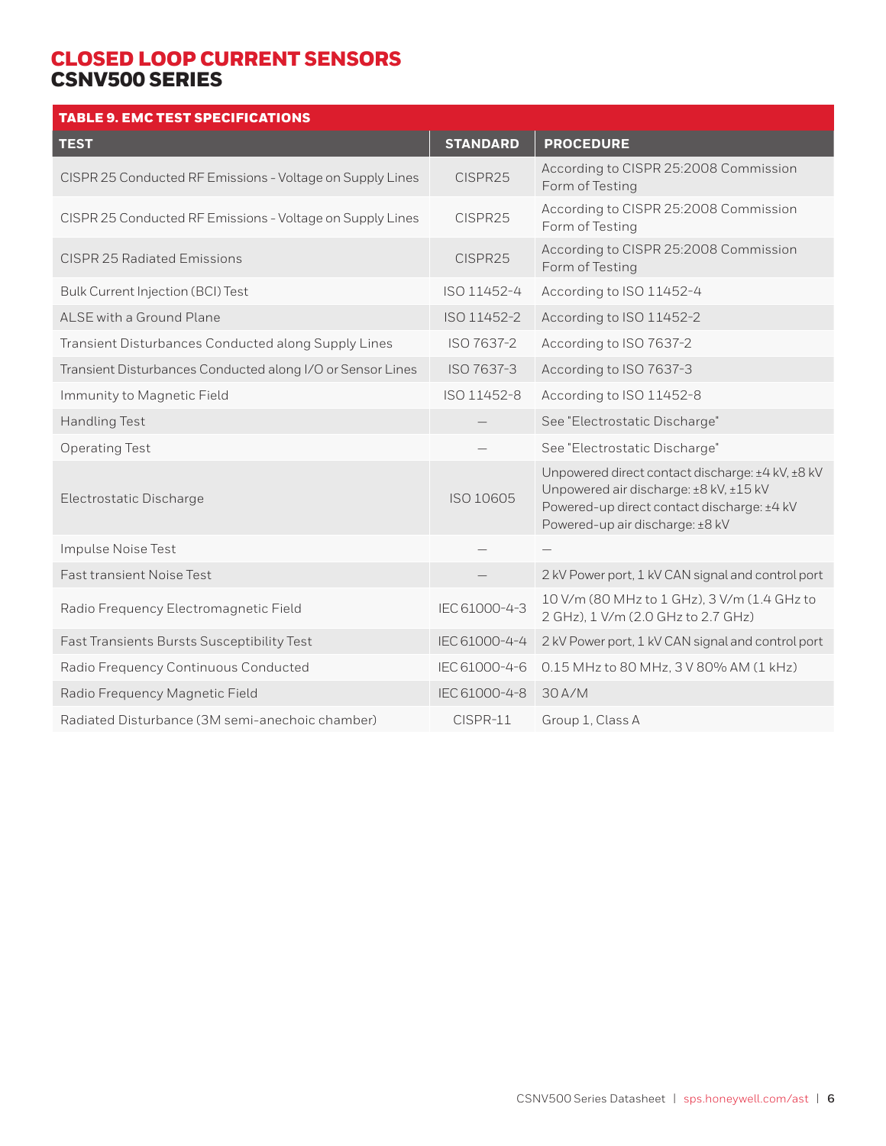| <b>TABLE 9. EMC TEST SPECIFICATIONS</b>                    |                 |                                                                                                                                                                             |
|------------------------------------------------------------|-----------------|-----------------------------------------------------------------------------------------------------------------------------------------------------------------------------|
| <b>TEST</b>                                                | <b>STANDARD</b> | <b>PROCEDURE</b>                                                                                                                                                            |
| CISPR 25 Conducted RF Emissions - Voltage on Supply Lines  | CISPR25         | According to CISPR 25:2008 Commission<br>Form of Testing                                                                                                                    |
| CISPR 25 Conducted RF Emissions - Voltage on Supply Lines  | CISPR25         | According to CISPR 25:2008 Commission<br>Form of Testing                                                                                                                    |
| <b>CISPR 25 Radiated Emissions</b>                         | CISPR25         | According to CISPR 25:2008 Commission<br>Form of Testing                                                                                                                    |
| Bulk Current Injection (BCI) Test                          | ISO 11452-4     | According to ISO 11452-4                                                                                                                                                    |
| ALSE with a Ground Plane                                   | ISO 11452-2     | According to ISO 11452-2                                                                                                                                                    |
| Transient Disturbances Conducted along Supply Lines        | ISO 7637-2      | According to ISO 7637-2                                                                                                                                                     |
| Transient Disturbances Conducted along I/O or Sensor Lines | ISO 7637-3      | According to ISO 7637-3                                                                                                                                                     |
| Immunity to Magnetic Field                                 | ISO 11452-8     | According to ISO 11452-8                                                                                                                                                    |
| <b>Handling Test</b>                                       |                 | See "Electrostatic Discharge"                                                                                                                                               |
| <b>Operating Test</b>                                      |                 | See "Electrostatic Discharge"                                                                                                                                               |
| Electrostatic Discharge                                    | ISO 10605       | Unpowered direct contact discharge: ±4 kV, ±8 kV<br>Unpowered air discharge: ±8 kV, ±15 kV<br>Powered-up direct contact discharge: ±4 kV<br>Powered-up air discharge: ±8 kV |
| Impulse Noise Test                                         |                 |                                                                                                                                                                             |
| <b>Fast transient Noise Test</b>                           |                 | 2 kV Power port, 1 kV CAN signal and control port                                                                                                                           |
| Radio Frequency Electromagnetic Field                      | IEC 61000-4-3   | 10 V/m (80 MHz to 1 GHz), 3 V/m (1.4 GHz to<br>2 GHz), 1 V/m (2.0 GHz to 2.7 GHz)                                                                                           |
| Fast Transients Bursts Susceptibility Test                 | IEC 61000-4-4   | 2 kV Power port, 1 kV CAN signal and control port                                                                                                                           |
| Radio Frequency Continuous Conducted                       | IEC 61000-4-6   | 0.15 MHz to 80 MHz, 3 V 80% AM (1 kHz)                                                                                                                                      |
| Radio Frequency Magnetic Field                             | IEC 61000-4-8   | 30 A/M                                                                                                                                                                      |
| Radiated Disturbance (3M semi-anechoic chamber)            | CISPR-11        | Group 1, Class A                                                                                                                                                            |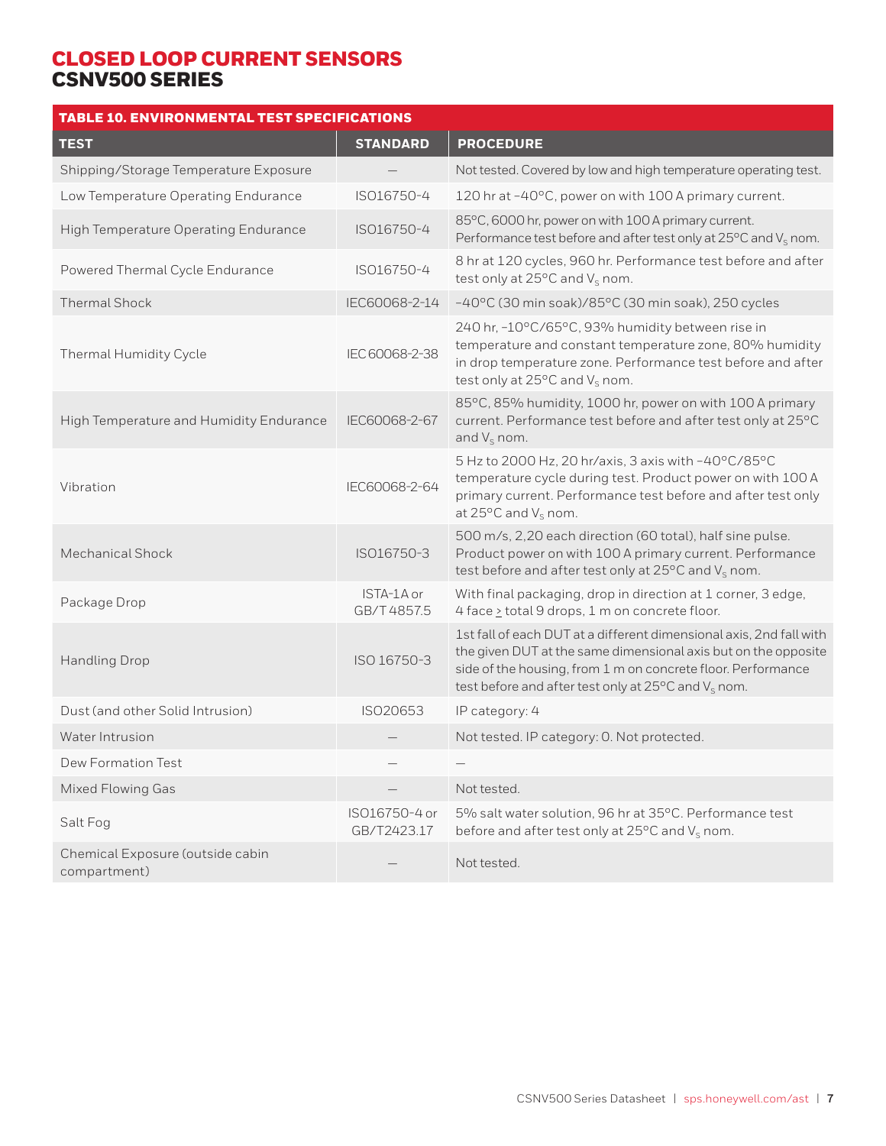| <b>TABLE 10. ENVIRONMENTAL TEST SPECIFICATIONS</b> |                              |                                                                                                                                                                                                                                                                           |
|----------------------------------------------------|------------------------------|---------------------------------------------------------------------------------------------------------------------------------------------------------------------------------------------------------------------------------------------------------------------------|
| <b>TEST</b>                                        | <b>STANDARD</b>              | <b>PROCEDURE</b>                                                                                                                                                                                                                                                          |
| Shipping/Storage Temperature Exposure              |                              | Not tested. Covered by low and high temperature operating test.                                                                                                                                                                                                           |
| Low Temperature Operating Endurance                | ISO16750-4                   | 120 hr at -40°C, power on with 100 A primary current.                                                                                                                                                                                                                     |
| High Temperature Operating Endurance               | ISO16750-4                   | 85°C, 6000 hr, power on with 100 A primary current.<br>Performance test before and after test only at $25^{\circ}$ C and $V_{\rm s}$ nom.                                                                                                                                 |
| Powered Thermal Cycle Endurance                    | ISO16750-4                   | 8 hr at 120 cycles, 960 hr. Performance test before and after<br>test only at $25^{\circ}$ C and $V_s$ nom.                                                                                                                                                               |
| <b>Thermal Shock</b>                               | IEC60068-2-14                | -40°C (30 min soak)/85°C (30 min soak), 250 cycles                                                                                                                                                                                                                        |
| Thermal Humidity Cycle                             | IEC 60068-2-38               | 240 hr, -10°C/65°C, 93% humidity between rise in<br>temperature and constant temperature zone, 80% humidity<br>in drop temperature zone. Performance test before and after<br>test only at $25^{\circ}$ C and $V_{s}$ nom.                                                |
| High Temperature and Humidity Endurance            | IEC60068-2-67                | 85°C, 85% humidity, 1000 hr, power on with 100 A primary<br>current. Performance test before and after test only at 25°C<br>and $V_s$ nom.                                                                                                                                |
| Vibration                                          | IEC60068-2-64                | 5 Hz to 2000 Hz, 20 hr/axis, 3 axis with -40°C/85°C<br>temperature cycle during test. Product power on with 100 A<br>primary current. Performance test before and after test only<br>at $25^{\circ}$ C and $V_s$ nom.                                                     |
| Mechanical Shock                                   | ISO16750-3                   | 500 m/s, 2,20 each direction (60 total), half sine pulse.<br>Product power on with 100 A primary current. Performance<br>test before and after test only at $25^{\circ}$ C and $V_s$ nom.                                                                                 |
| Package Drop                                       | ISTA-1A or<br>GB/T4857.5     | With final packaging, drop in direction at 1 corner, 3 edge,<br>4 face > total 9 drops, 1 m on concrete floor.                                                                                                                                                            |
| <b>Handling Drop</b>                               | ISO 16750-3                  | 1st fall of each DUT at a different dimensional axis, 2nd fall with<br>the given DUT at the same dimensional axis but on the opposite<br>side of the housing, from 1 m on concrete floor. Performance<br>test before and after test only at $25^{\circ}$ C and $V_s$ nom. |
| Dust (and other Solid Intrusion)                   | ISO20653                     | IP category: 4                                                                                                                                                                                                                                                            |
| Water Intrusion                                    |                              | Not tested. IP category: O. Not protected.                                                                                                                                                                                                                                |
| Dew Formation Test                                 |                              |                                                                                                                                                                                                                                                                           |
| <b>Mixed Flowing Gas</b>                           |                              | Not tested.                                                                                                                                                                                                                                                               |
| Salt Fog                                           | ISO16750-4 or<br>GB/T2423.17 | 5% salt water solution, 96 hr at 35°C. Performance test<br>before and after test only at 25°C and V <sub>s</sub> nom.                                                                                                                                                     |
| Chemical Exposure (outside cabin<br>compartment)   |                              | Not tested.                                                                                                                                                                                                                                                               |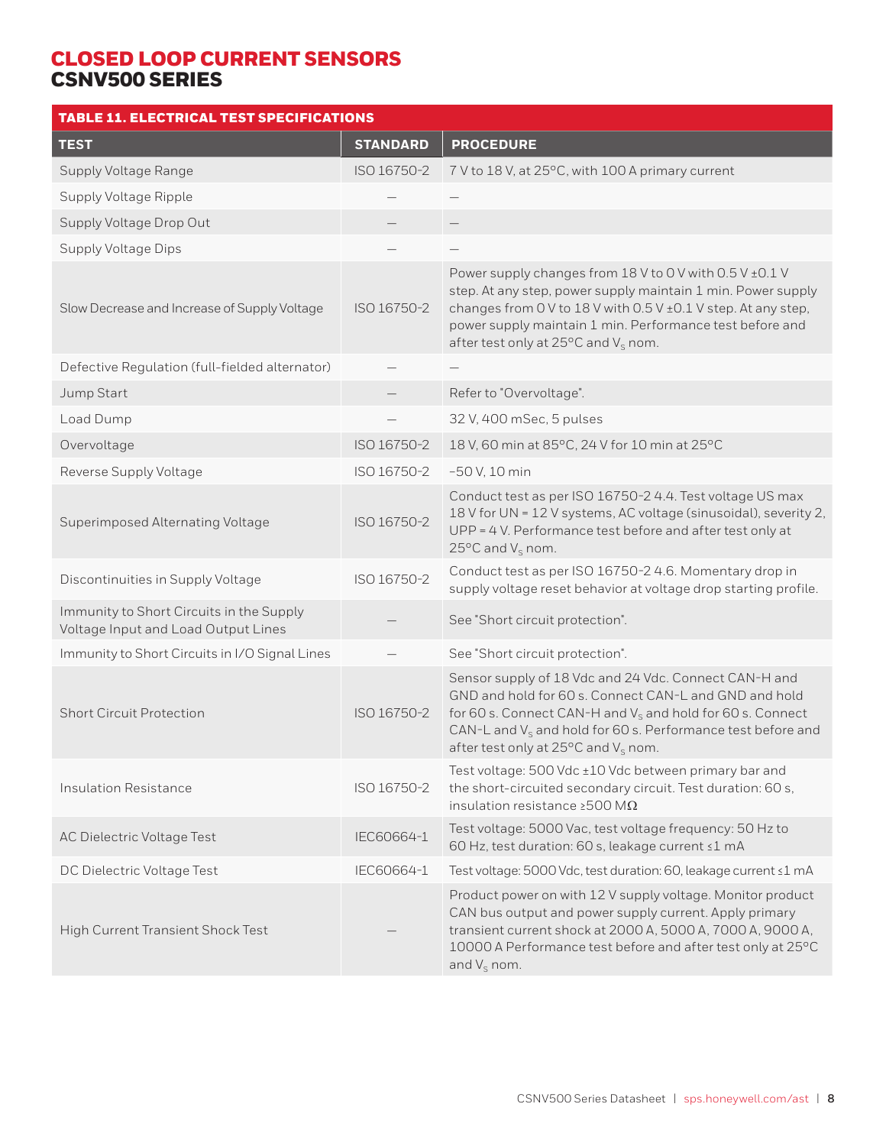| <b>TABLE 11. ELECTRICAL TEST SPECIFICATIONS</b>                                 |                 |                                                                                                                                                                                                                                                                                                           |
|---------------------------------------------------------------------------------|-----------------|-----------------------------------------------------------------------------------------------------------------------------------------------------------------------------------------------------------------------------------------------------------------------------------------------------------|
| <b>TEST</b>                                                                     | <b>STANDARD</b> | <b>PROCEDURE</b>                                                                                                                                                                                                                                                                                          |
| Supply Voltage Range                                                            | ISO 16750-2     | 7 V to 18 V, at 25°C, with 100 A primary current                                                                                                                                                                                                                                                          |
| Supply Voltage Ripple                                                           |                 |                                                                                                                                                                                                                                                                                                           |
| Supply Voltage Drop Out                                                         |                 |                                                                                                                                                                                                                                                                                                           |
| <b>Supply Voltage Dips</b>                                                      |                 |                                                                                                                                                                                                                                                                                                           |
| Slow Decrease and Increase of Supply Voltage                                    | ISO 16750-2     | Power supply changes from 18 V to 0 V with 0.5 V ± 0.1 V<br>step. At any step, power supply maintain 1 min. Power supply<br>changes from 0 V to 18 V with 0.5 V ± 0.1 V step. At any step,<br>power supply maintain 1 min. Performance test before and<br>after test only at 25°C and V <sub>s</sub> nom. |
| Defective Regulation (full-fielded alternator)                                  |                 |                                                                                                                                                                                                                                                                                                           |
| Jump Start                                                                      |                 | Refer to "Overvoltage".                                                                                                                                                                                                                                                                                   |
| Load Dump                                                                       |                 | 32 V, 400 mSec, 5 pulses                                                                                                                                                                                                                                                                                  |
| Overvoltage                                                                     | ISO 16750-2     | 18 V, 60 min at 85°C, 24 V for 10 min at 25°C                                                                                                                                                                                                                                                             |
| Reverse Supply Voltage                                                          | ISO 16750-2     | $-50$ V, 10 min                                                                                                                                                                                                                                                                                           |
| Superimposed Alternating Voltage                                                | ISO 16750-2     | Conduct test as per ISO 16750-2 4.4. Test voltage US max<br>18 V for UN = 12 V systems, AC voltage (sinusoidal), severity 2,<br>UPP = 4 V. Performance test before and after test only at<br>25 $\mathrm{^{\circ}C}$ and $\mathrm{V}_{\mathrm{S}}$ nom.                                                   |
| Discontinuities in Supply Voltage                                               | ISO 16750-2     | Conduct test as per ISO 16750-2 4.6. Momentary drop in<br>supply voltage reset behavior at voltage drop starting profile.                                                                                                                                                                                 |
| Immunity to Short Circuits in the Supply<br>Voltage Input and Load Output Lines |                 | See "Short circuit protection".                                                                                                                                                                                                                                                                           |
| Immunity to Short Circuits in I/O Signal Lines                                  |                 | See "Short circuit protection".                                                                                                                                                                                                                                                                           |
| <b>Short Circuit Protection</b>                                                 | ISO 16750-2     | Sensor supply of 18 Vdc and 24 Vdc. Connect CAN-H and<br>GND and hold for 60 s. Connect CAN-L and GND and hold<br>for 60 s. Connect CAN-H and $V_s$ and hold for 60 s. Connect<br>CAN-L and $V_s$ and hold for 60 s. Performance test before and<br>after test only at 25 $\rm{^oC}$ and $\rm{V_s}$ nom.  |
| <b>Insulation Resistance</b>                                                    | ISO 16750-2     | Test voltage: 500 Vdc ±10 Vdc between primary bar and<br>the short-circuited secondary circuit. Test duration: 60 s,<br>insulation resistance $\geq$ 500 M $\Omega$                                                                                                                                       |
| <b>AC Dielectric Voltage Test</b>                                               | IEC60664-1      | Test voltage: 5000 Vac, test voltage frequency: 50 Hz to<br>60 Hz, test duration: 60 s, leakage current ≤1 mA                                                                                                                                                                                             |
| DC Dielectric Voltage Test                                                      | IEC60664-1      | Test voltage: 5000 Vdc, test duration: 60, leakage current ≤1 mA                                                                                                                                                                                                                                          |
| High Current Transient Shock Test                                               |                 | Product power on with 12 V supply voltage. Monitor product<br>CAN bus output and power supply current. Apply primary<br>transient current shock at 2000 A, 5000 A, 7000 A, 9000 A,<br>10000 A Performance test before and after test only at 25°C<br>and $V_s$ nom.                                       |